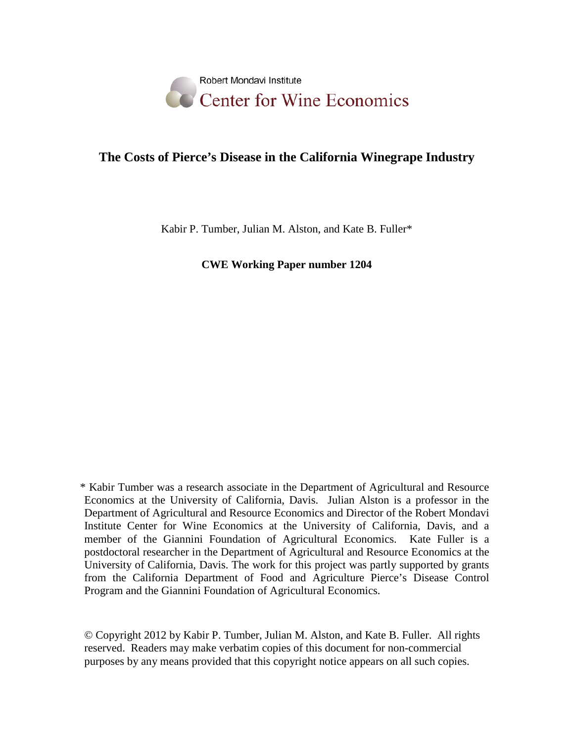

# **The Costs of Pierce's Disease in the California Winegrape Industry**

Kabir P. Tumber, Julian M. Alston, and Kate B. Fuller\*

**CWE Working Paper number 1204**

\* Kabir Tumber was a research associate in the Department of Agricultural and Resource Economics at the University of California, Davis. Julian Alston is a professor in the Department of Agricultural and Resource Economics and Director of the Robert Mondavi Institute Center for Wine Economics at the University of California, Davis, and a member of the Giannini Foundation of Agricultural Economics. Kate Fuller is a postdoctoral researcher in the Department of Agricultural and Resource Economics at the University of California, Davis. The work for this project was partly supported by grants from the California Department of Food and Agriculture Pierce's Disease Control Program and the Giannini Foundation of Agricultural Economics.

© Copyright 2012 by Kabir P. Tumber, Julian M. Alston, and Kate B. Fuller. All rights reserved. Readers may make verbatim copies of this document for non-commercial purposes by any means provided that this copyright notice appears on all such copies.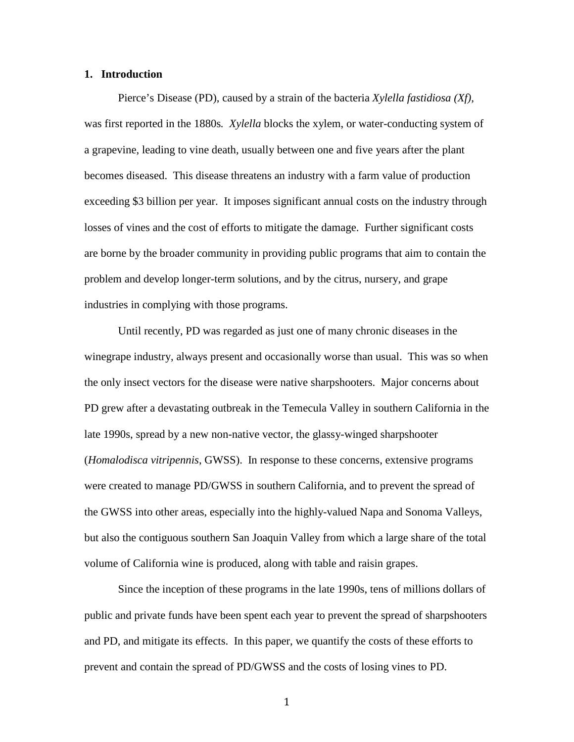#### **1. Introduction**

Pierce's Disease (PD), caused by a strain of the bacteria *Xylella fastidiosa (Xf),*  was first reported in the 1880s*. Xylella* blocks the xylem, or water-conducting system of a grapevine, leading to vine death, usually between one and five years after the plant becomes diseased.This disease threatens an industry with a farm value of production exceeding \$3 billion per year. It imposes significant annual costs on the industry through losses of vines and the cost of efforts to mitigate the damage. Further significant costs are borne by the broader community in providing public programs that aim to contain the problem and develop longer-term solutions, and by the citrus, nursery, and grape industries in complying with those programs.

Until recently, PD was regarded as just one of many chronic diseases in the winegrape industry, always present and occasionally worse than usual. This was so when the only insect vectors for the disease were native sharpshooters. Major concerns about PD grew after a devastating outbreak in the Temecula Valley in southern California in the late 1990s, spread by a new non-native vector, the glassy-winged sharpshooter (*Homalodisca vitripennis*, GWSS). In response to these concerns, extensive programs were created to manage PD/GWSS in southern California, and to prevent the spread of the GWSS into other areas, especially into the highly-valued Napa and Sonoma Valleys, but also the contiguous southern San Joaquin Valley from which a large share of the total volume of California wine is produced, along with table and raisin grapes.

Since the inception of these programs in the late 1990s, tens of millions dollars of public and private funds have been spent each year to prevent the spread of sharpshooters and PD, and mitigate its effects. In this paper, we quantify the costs of these efforts to prevent and contain the spread of PD/GWSS and the costs of losing vines to PD.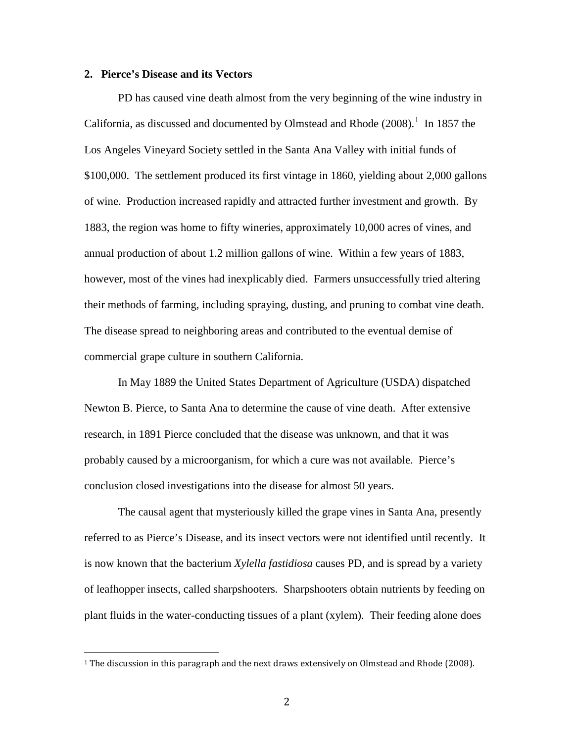#### **2. Pierce's Disease and its Vectors**

PD has caused vine death almost from the very beginning of the wine industry in California, as discussed and documented by Olmstead and Rhode  $(2008)$ .<sup>[1](#page-2-0)</sup> In 1857 the Los Angeles Vineyard Society settled in the Santa Ana Valley with initial funds of \$100,000. The settlement produced its first vintage in 1860, yielding about 2,000 gallons of wine. Production increased rapidly and attracted further investment and growth. By 1883, the region was home to fifty wineries, approximately 10,000 acres of vines, and annual production of about 1.2 million gallons of wine. Within a few years of 1883, however, most of the vines had inexplicably died. Farmers unsuccessfully tried altering their methods of farming, including spraying, dusting, and pruning to combat vine death. The disease spread to neighboring areas and contributed to the eventual demise of commercial grape culture in southern California.

In May 1889 the United States Department of Agriculture (USDA) dispatched Newton B. Pierce, to Santa Ana to determine the cause of vine death. After extensive research, in 1891 Pierce concluded that the disease was unknown, and that it was probably caused by a microorganism, for which a cure was not available. Pierce's conclusion closed investigations into the disease for almost 50 years.

The causal agent that mysteriously killed the grape vines in Santa Ana, presently referred to as Pierce's Disease, and its insect vectors were not identified until recently. It is now known that the bacterium *Xylella fastidiosa* causes PD, and is spread by a variety of leafhopper insects, called sharpshooters. Sharpshooters obtain nutrients by feeding on plant fluids in the water-conducting tissues of a plant (xylem). Their feeding alone does

<span id="page-2-0"></span><sup>&</sup>lt;sup>1</sup> The discussion in this paragraph and the next draws extensively on Olmstead and Rhode (2008).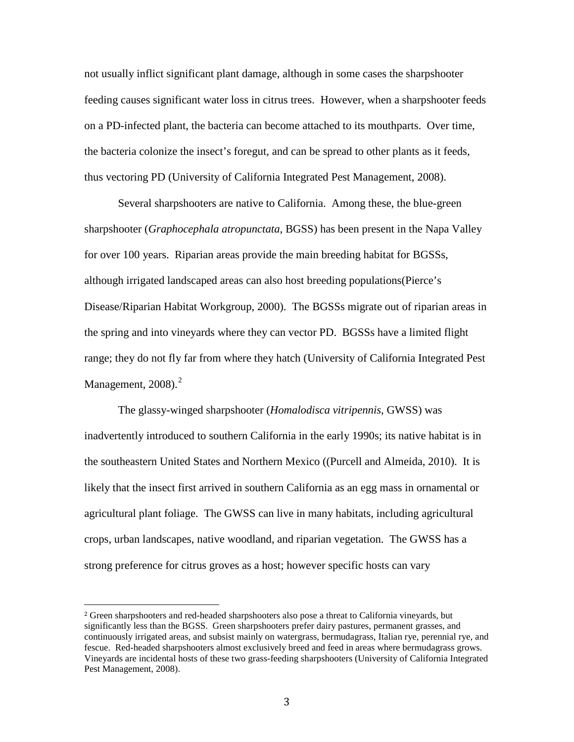not usually inflict significant plant damage, although in some cases the sharpshooter feeding causes significant water loss in citrus trees. However, when a sharpshooter feeds on a PD-infected plant, the bacteria can become attached to its mouthparts. Over time, the bacteria colonize the insect's foregut, and can be spread to other plants as it feeds, thus vectoring PD [\(University of California Integrated Pest Management, 2008\)](#page-18-0).

Several sharpshooters are native to California. Among these, the blue-green sharpshooter (*Graphocephala atropunctata*, BGSS) has been present in the Napa Valley for over 100 years. Riparian areas provide the main breeding habitat for BGSSs, although irrigated landscaped areas can also host breeding populations[\(Pierce's](#page-18-1)  [Disease/Riparian Habitat Workgroup, 2000\)](#page-18-1). The BGSSs migrate out of riparian areas in the spring and into vineyards where they can vector PD. BGSSs have a limited flight range; they do not fly far from where they hatch [\(University of California Integrated](#page-18-0) Pest [Management, 2008\)](#page-18-0).<sup>[2](#page-3-0)</sup>

The glassy-winged sharpshooter (*Homalodisca vitripennis*, GWSS) was inadvertently introduced to southern California in the early 1990s; its native habitat is in the southeastern United States and Northern Mexico ([\(Purcell and Almeida, 2010\)](#page-18-2). It is likely that the insect first arrived in southern California as an egg mass in ornamental or agricultural plant foliage. The GWSS can live in many habitats, including agricultural crops, urban landscapes, native woodland, and riparian vegetation. The GWSS has a strong preference for citrus groves as a host; however specific hosts can vary

<span id="page-3-0"></span> <sup>2</sup> Green sharpshooters and red-headed sharpshooters also pose a threat to California vineyards, but significantly less than the BGSS. Green sharpshooters prefer dairy pastures, permanent grasses, and continuously irrigated areas, and subsist mainly on watergrass, bermudagrass, Italian rye, perennial rye, and fescue. Red-headed sharpshooters almost exclusively breed and feed in areas where bermudagrass grows. Vineyards are incidental hosts of these two grass-feeding sharpshooters [\(University of California Integrated](#page-18-0)  [Pest Management, 2008\)](#page-18-0).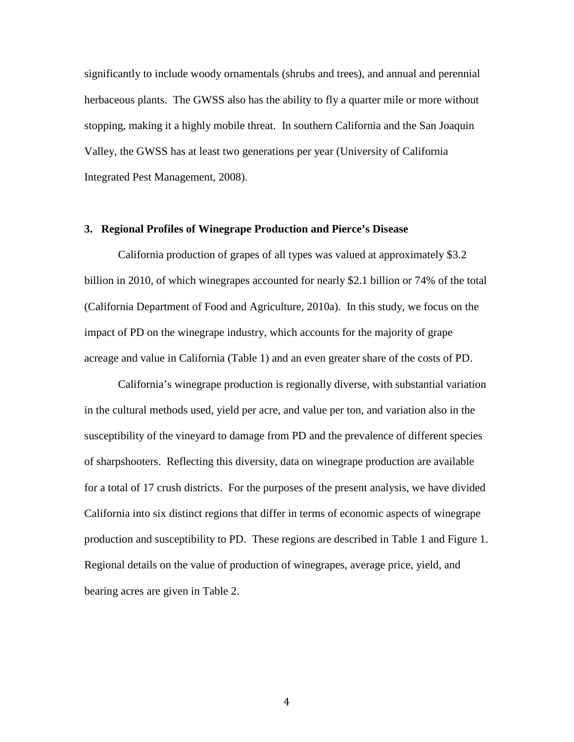significantly to include woody ornamentals (shrubs and trees), and annual and perennial herbaceous plants. The GWSS also has the ability to fly a quarter mile or more without stopping, making it a highly mobile threat. In southern California and the San Joaquin Valley, the GWSS has at least two generations per year [\(University of California](#page-18-0)  [Integrated Pest Management, 2008\)](#page-18-0).

#### **3. Regional Profiles of Winegrape Production and Pierce's Disease**

California production of grapes of all types was valued at approximately \$3.2 billion in 2010, of which winegrapes accounted for nearly \$2.1 billion or 74% of the total [\(California Department of Food and Agriculture, 2010a\)](#page-17-1). In this study, we focus on the impact of PD on the winegrape industry, which accounts for the majority of grape acreage and value in California (Table 1) and an even greater share of the costs of PD.

California's winegrape production is regionally diverse, with substantial variation in the cultural methods used, yield per acre, and value per ton, and variation also in the susceptibility of the vineyard to damage from PD and the prevalence of different species of sharpshooters. Reflecting this diversity, data on winegrape production are available for a total of 17 crush districts. For the purposes of the present analysis, we have divided California into six distinct regions that differ in terms of economic aspects of winegrape production and susceptibility to PD. These regions are described in Table 1 and Figure 1. Regional details on the value of production of winegrapes, average price, yield, and bearing acres are given in Table 2.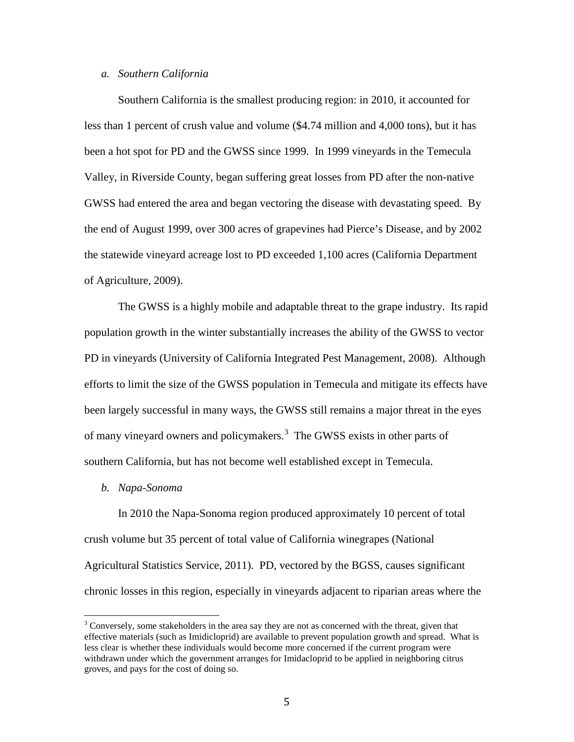#### *a. Southern California*

Southern California is the smallest producing region: in 2010, it accounted for less than 1 percent of crush value and volume (\$4.74 million and 4,000 tons), but it has been a hot spot for PD and the GWSS since 1999. In 1999 vineyards in the Temecula Valley, in Riverside County, began suffering great losses from PD after the non-native GWSS had entered the area and began vectoring the disease with devastating speed. By the end of August 1999, over 300 acres of grapevines had Pierce's Disease, and by 2002 the statewide vineyard acreage lost to PD exceeded 1,100 acres [\(California Department](#page-17-2)  [of Agriculture, 2009\)](#page-17-2).

The GWSS is a highly mobile and adaptable threat to the grape industry. Its rapid population growth in the winter substantially increases the ability of the GWSS to vector PD in vineyards [\(University of California Integrated Pest Management, 2008\)](#page-18-0). Although efforts to limit the size of the GWSS population in Temecula and mitigate its effects have been largely successful in many ways, the GWSS still remains a major threat in the eyes of many vineyard owners and policymakers. [3](#page-5-0) The GWSS exists in other parts of southern California, but has not become well established except in Temecula.

#### *b. Napa-Sonoma*

In 2010 the Napa-Sonoma region produced approximately 10 percent of total crush volume but 35 percent of total value of California winegrapes [\(National](#page-17-3)  [Agricultural Statistics Service, 2011\)](#page-17-3). PD, vectored by the BGSS, causes significant chronic losses in this region, especially in vineyards adjacent to riparian areas where the

<span id="page-5-0"></span><sup>&</sup>lt;sup>3</sup> Conversely, some stakeholders in the area say they are not as concerned with the threat, given that effective materials (such as Imidicloprid) are available to prevent population growth and spread. What is less clear is whether these individuals would become more concerned if the current program were withdrawn under which the government arranges for Imidacloprid to be applied in neighboring citrus groves, and pays for the cost of doing so.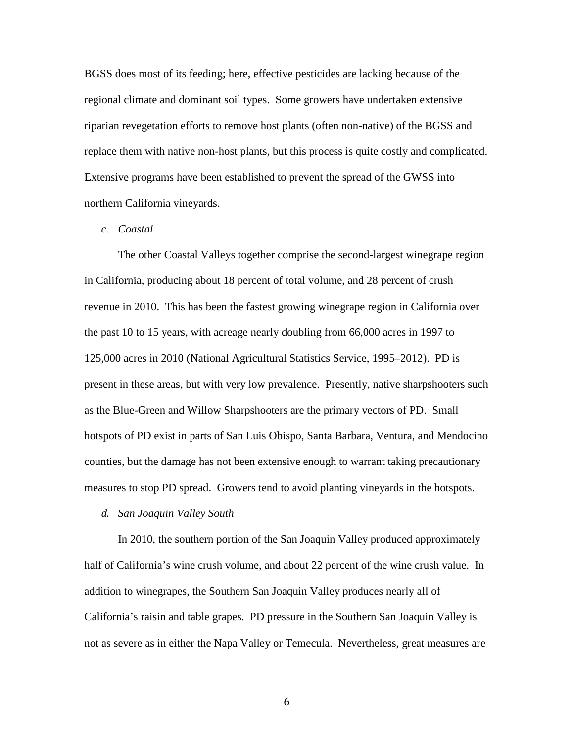BGSS does most of its feeding; here, effective pesticides are lacking because of the regional climate and dominant soil types. Some growers have undertaken extensive riparian revegetation efforts to remove host plants (often non-native) of the BGSS and replace them with native non-host plants, but this process is quite costly and complicated. Extensive programs have been established to prevent the spread of the GWSS into northern California vineyards.

# *c. Coastal*

The other Coastal Valleys together comprise the second-largest winegrape region in California, producing about 18 percent of total volume, and 28 percent of crush revenue in 2010. This has been the fastest growing winegrape region in California over the past 10 to 15 years, with acreage nearly doubling from 66,000 acres in 1997 to 125,000 acres in 2010 [\(National Agricultural Statistics Service, 1995–2012\)](#page-17-4). PD is present in these areas, but with very low prevalence. Presently, native sharpshooters such as the Blue-Green and Willow Sharpshooters are the primary vectors of PD. Small hotspots of PD exist in parts of San Luis Obispo, Santa Barbara, Ventura, and Mendocino counties, but the damage has not been extensive enough to warrant taking precautionary measures to stop PD spread. Growers tend to avoid planting vineyards in the hotspots.

*d. San Joaquin Valley South*

In 2010, the southern portion of the San Joaquin Valley produced approximately half of California's wine crush volume, and about 22 percent of the wine crush value. In addition to winegrapes, the Southern San Joaquin Valley produces nearly all of California's raisin and table grapes. PD pressure in the Southern San Joaquin Valley is not as severe as in either the Napa Valley or Temecula. Nevertheless, great measures are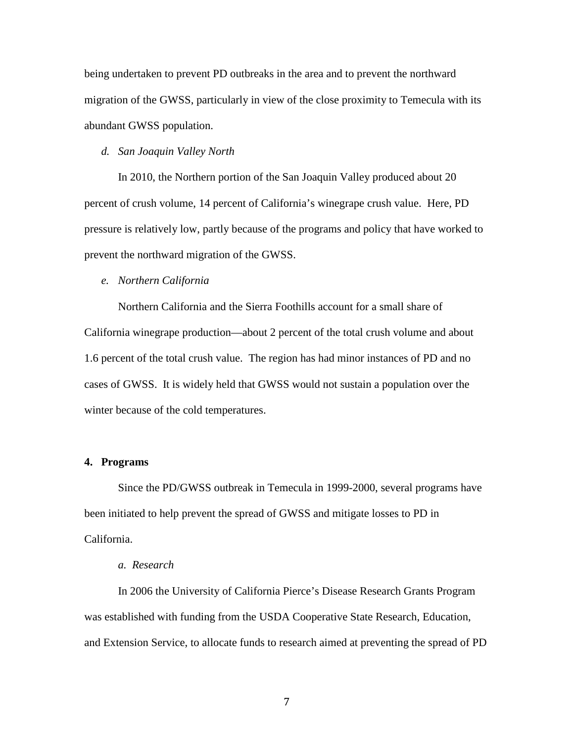being undertaken to prevent PD outbreaks in the area and to prevent the northward migration of the GWSS, particularly in view of the close proximity to Temecula with its abundant GWSS population.

# *d. San Joaquin Valley North*

In 2010, the Northern portion of the San Joaquin Valley produced about 20 percent of crush volume, 14 percent of California's winegrape crush value. Here, PD pressure is relatively low, partly because of the programs and policy that have worked to prevent the northward migration of the GWSS.

# *e. Northern California*

Northern California and the Sierra Foothills account for a small share of California winegrape production—about 2 percent of the total crush volume and about 1.6 percent of the total crush value. The region has had minor instances of PD and no cases of GWSS. It is widely held that GWSS would not sustain a population over the winter because of the cold temperatures.

#### **4. Programs**

Since the PD/GWSS outbreak in Temecula in 1999-2000, several programs have been initiated to help prevent the spread of GWSS and mitigate losses to PD in California.

#### *a. Research*

In 2006 the University of California Pierce's Disease Research Grants Program was established with funding from the USDA Cooperative State Research, Education, and Extension Service, to allocate funds to research aimed at preventing the spread of PD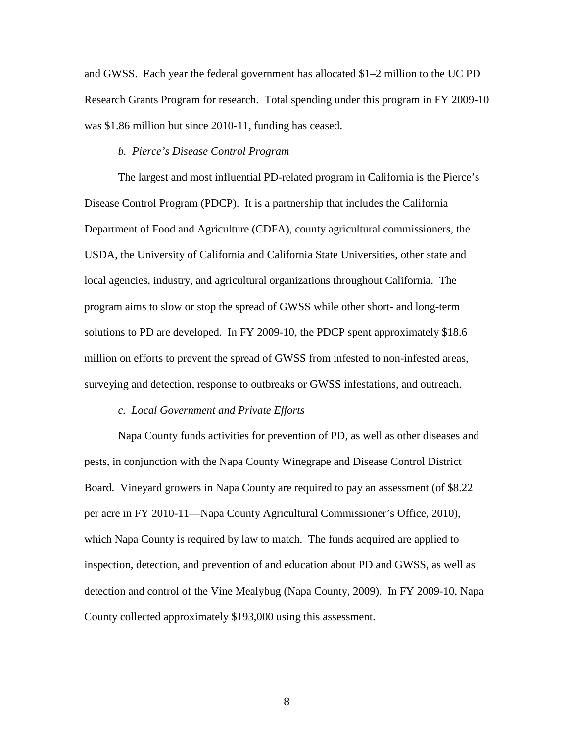and GWSS. Each year the federal government has allocated \$1–2 million to the UC PD Research Grants Program for research. Total spending under this program in FY 2009-10 was \$1.86 million but since 2010-11, funding has ceased.

# *b. Pierce's Disease Control Program*

The largest and most influential PD-related program in California is the Pierce's Disease Control Program (PDCP). It is a partnership that includes the California Department of Food and Agriculture (CDFA), county agricultural commissioners, the USDA, the University of California and California State Universities, other state and local agencies, industry, and agricultural organizations throughout California. The program aims to slow or stop the spread of GWSS while other short- and long-term solutions to PD are developed. In FY 2009-10, the PDCP spent approximately \$18.6 million on efforts to prevent the spread of GWSS from infested to non-infested areas, surveying and detection, response to outbreaks or GWSS infestations, and outreach.

#### *c. Local Government and Private Efforts*

Napa County funds activities for prevention of PD, as well as other diseases and pests, in conjunction with the Napa County Winegrape and Disease Control District Board. Vineyard growers in Napa County are required to pay an assessment (of \$8.22 per acre in FY 2010-11—Napa County Agricultural Commissioner's Office, 2010), which Napa County is required by law to match. The funds acquired are applied to inspection, detection, and prevention of and education about PD and GWSS, as well as detection and control of the Vine Mealybug [\(Napa County, 2009\)](#page-17-5). In FY 2009-10, Napa County collected approximately \$193,000 using this assessment.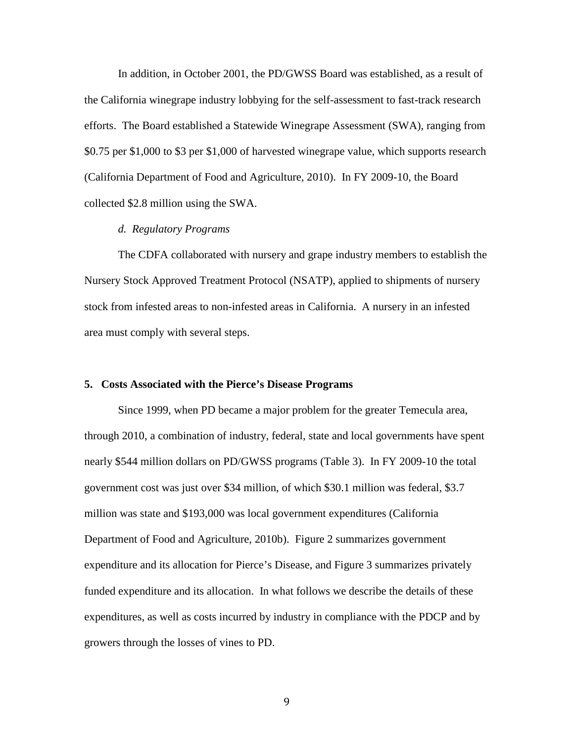In addition, in October 2001, the PD/GWSS Board was established, as a result of the California winegrape industry lobbying for the self-assessment to fast-track research efforts. The Board established a Statewide Winegrape Assessment (SWA), ranging from \$0.75 per \$1,000 to \$3 per \$1,000 of harvested winegrape value, which supports research [\(California Department of Food and Agriculture, 2010\)](#page-17-6). In FY 2009-10, the Board collected \$2.8 million using the SWA.

#### *d. Regulatory Programs*

The CDFA collaborated with nursery and grape industry members to establish the Nursery Stock Approved Treatment Protocol (NSATP), applied to shipments of nursery stock from infested areas to non-infested areas in California. A nursery in an infested area must comply with several steps.

#### **5. Costs Associated with the Pierce's Disease Programs**

Since 1999, when PD became a major problem for the greater Temecula area, through 2010, a combination of industry, federal, state and local governments have spent nearly \$544 million dollars on PD/GWSS programs (Table 3). In FY 2009-10 the total government cost was just over \$34 million, of which \$30.1 million was federal, \$3.7 million was state and \$193,000 was local government expenditures [\(California](#page-17-7)  [Department of Food and Agriculture, 2010b\)](#page-17-7). Figure 2 summarizes government expenditure and its allocation for Pierce's Disease, and Figure 3 summarizes privately funded expenditure and its allocation. In what follows we describe the details of these expenditures, as well as costs incurred by industry in compliance with the PDCP and by growers through the losses of vines to PD.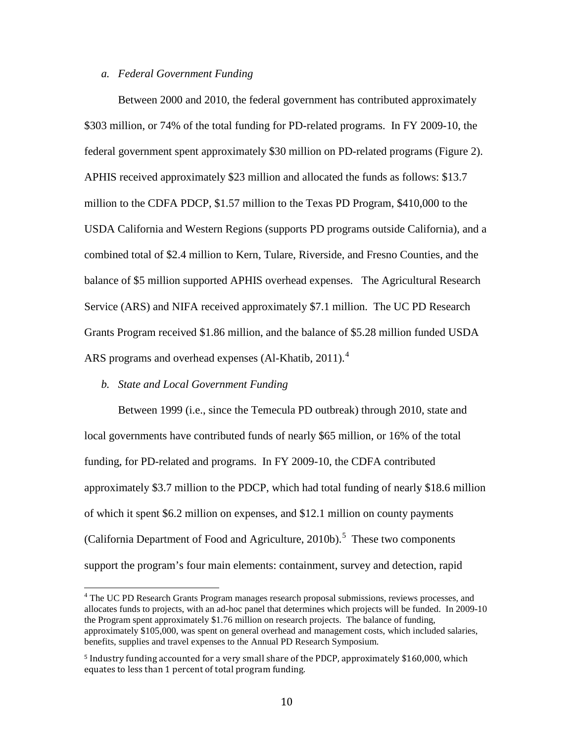# *a. Federal Government Funding*

Between 2000 and 2010, the federal government has contributed approximately \$303 million, or 74% of the total funding for PD-related programs. In FY 2009-10, the federal government spent approximately \$30 million on PD-related programs (Figure 2). APHIS received approximately \$23 million and allocated the funds as follows: \$13.7 million to the CDFA PDCP, \$1.57 million to the Texas PD Program, \$410,000 to the USDA California and Western Regions (supports PD programs outside California), and a combined total of \$2.4 million to Kern, Tulare, Riverside, and Fresno Counties, and the balance of \$5 million supported APHIS overhead expenses. The Agricultural Research Service (ARS) and NIFA received approximately \$7.1 million. The UC PD Research Grants Program received \$1.86 million, and the balance of \$5.28 million funded USDA ARS programs and overhead expenses [\(Al-Khatib, 2011\)](#page-17-8).<sup>[4](#page-10-0)</sup>

## *b. State and Local Government Funding*

Between 1999 (i.e., since the Temecula PD outbreak) through 2010, state and local governments have contributed funds of nearly \$65 million, or 16% of the total funding, for PD-related and programs. In FY 2009-10, the CDFA contributed approximately \$3.7 million to the PDCP, which had total funding of nearly \$18.6 million of which it spent \$6.2 million on expenses, and \$12.1 million on county payments [\(California Department of Food and Agriculture, 2010b\)](#page-17-7). [5](#page-10-1) These two components support the program's four main elements: containment, survey and detection, rapid

<span id="page-10-0"></span><sup>&</sup>lt;sup>4</sup> The UC PD Research Grants Program manages research proposal submissions, reviews processes, and allocates funds to projects, with an ad-hoc panel that determines which projects will be funded. In 2009-10 the Program spent approximately \$1.76 million on research projects. The balance of funding, approximately \$105,000, was spent on general overhead and management costs, which included salaries, benefits, supplies and travel expenses to the Annual PD Research Symposium.

<span id="page-10-1"></span><sup>5</sup> Industry funding accounted for a very small share of the PDCP, approximately \$160,000, which equates to less than 1 percent of total program funding.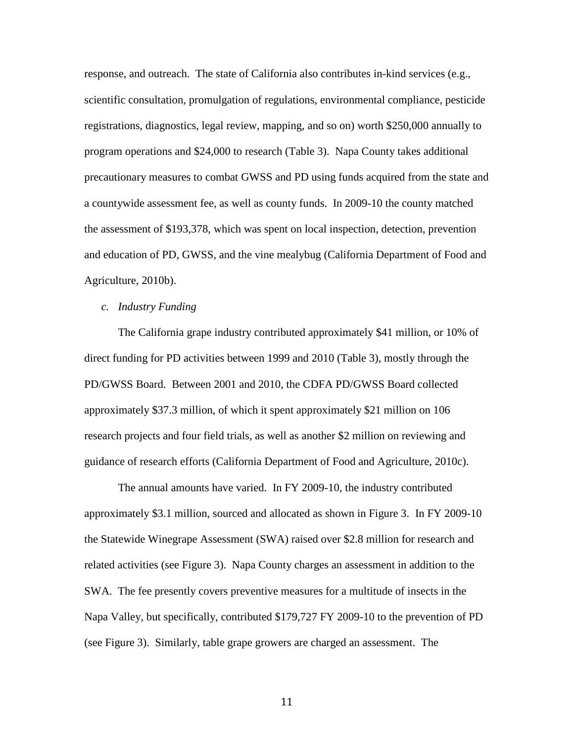response, and outreach. The state of California also contributes in-kind services (e.g., scientific consultation, promulgation of regulations, environmental compliance, pesticide registrations, diagnostics, legal review, mapping, and so on) worth \$250,000 annually to program operations and \$24,000 to research (Table 3). Napa County takes additional precautionary measures to combat GWSS and PD using funds acquired from the state and a countywide assessment fee, as well as county funds. In 2009-10 the county matched the assessment of \$193,378, which was spent on local inspection, detection, prevention and education of PD, GWSS, and the vine mealybug [\(California Department of Food and](#page-17-7)  [Agriculture, 2010b\)](#page-17-7).

# *c. Industry Funding*

The California grape industry contributed approximately \$41 million, or 10% of direct funding for PD activities between 1999 and 2010 (Table 3), mostly through the PD/GWSS Board. Between 2001 and 2010, the CDFA PD/GWSS Board collected approximately \$37.3 million, of which it spent approximately \$21 million on 106 research projects and four field trials, as well as another \$2 million on reviewing and guidance of research efforts [\(California Department of Food and Agriculture, 2010c\)](#page-17-9).

The annual amounts have varied. In FY 2009-10, the industry contributed approximately \$3.1 million, sourced and allocated as shown in Figure 3. In FY 2009-10 the Statewide Winegrape Assessment (SWA) raised over \$2.8 million for research and related activities (see Figure 3). Napa County charges an assessment in addition to the SWA. The fee presently covers preventive measures for a multitude of insects in the Napa Valley, but specifically, contributed \$179,727 FY 2009-10 to the prevention of PD (see Figure 3). Similarly, table grape growers are charged an assessment. The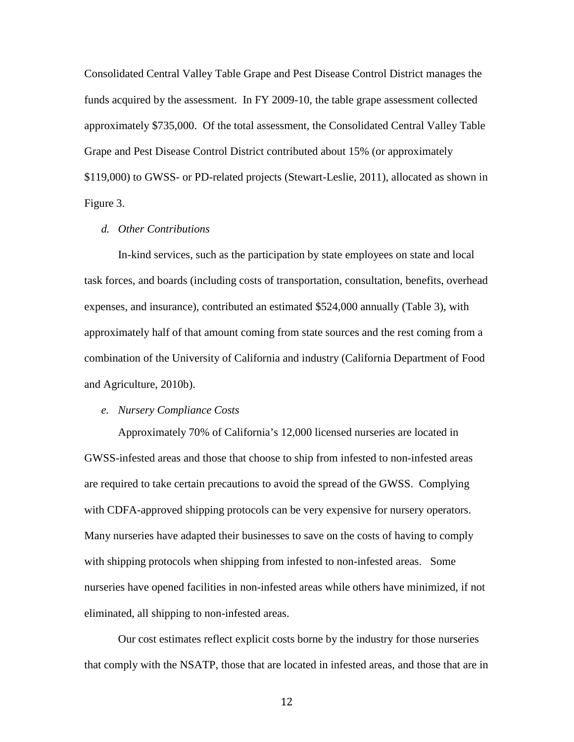Consolidated Central Valley Table Grape and Pest Disease Control District manages the funds acquired by the assessment. In FY 2009-10, the table grape assessment collected approximately \$735,000. Of the total assessment, the Consolidated Central Valley Table Grape and Pest Disease Control District contributed about 15% (or approximately \$119,000) to GWSS- or PD-related projects [\(Stewart-Leslie, 2011\)](#page-18-3), allocated as shown in Figure 3.

# *d. Other Contributions*

In-kind services, such as the participation by state employees on state and local task forces, and boards (including costs of transportation, consultation, benefits, overhead expenses, and insurance), contributed an estimated \$524,000 annually (Table 3), with approximately half of that amount coming from state sources and the rest coming from a combination of the University of California and industry [\(California Department of Food](#page-17-7)  [and Agriculture, 2010b\)](#page-17-7).

# *e. Nursery Compliance Costs*

Approximately 70% of California's 12,000 licensed nurseries are located in GWSS-infested areas and those that choose to ship from infested to non-infested areas are required to take certain precautions to avoid the spread of the GWSS. Complying with CDFA-approved shipping protocols can be very expensive for nursery operators. Many nurseries have adapted their businesses to save on the costs of having to comply with shipping protocols when shipping from infested to non-infested areas. Some nurseries have opened facilities in non-infested areas while others have minimized, if not eliminated, all shipping to non-infested areas.

Our cost estimates reflect explicit costs borne by the industry for those nurseries that comply with the NSATP, those that are located in infested areas, and those that are in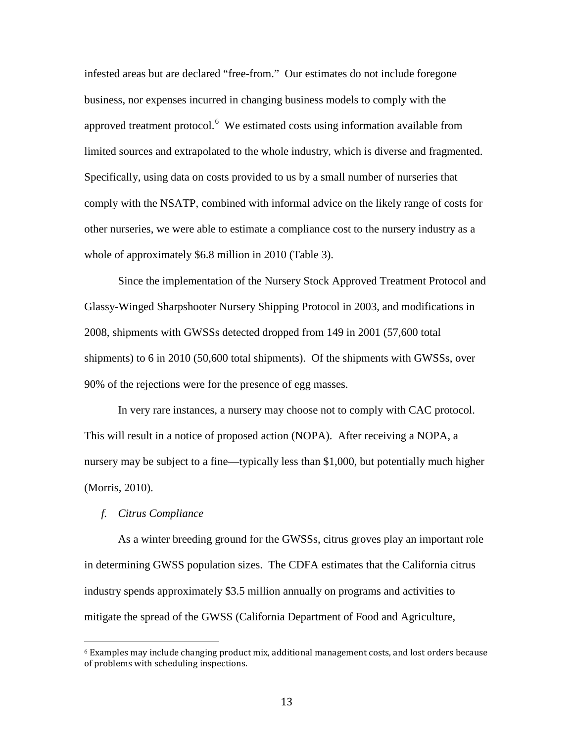infested areas but are declared "free-from." Our estimates do not include foregone business, nor expenses incurred in changing business models to comply with the approved treatment protocol.<sup>[6](#page-13-0)</sup> We estimated costs using information available from limited sources and extrapolated to the whole industry, which is diverse and fragmented. Specifically, using data on costs provided to us by a small number of nurseries that comply with the NSATP, combined with informal advice on the likely range of costs for other nurseries, we were able to estimate a compliance cost to the nursery industry as a whole of approximately \$6.8 million in 2010 (Table 3).

Since the implementation of the Nursery Stock Approved Treatment Protocol and Glassy-Winged Sharpshooter Nursery Shipping Protocol in 2003, and modifications in 2008, shipments with GWSSs detected dropped from 149 in 2001 (57,600 total shipments) to 6 in 2010 (50,600 total shipments). Of the shipments with GWSSs, over 90% of the rejections were for the presence of egg masses.

In very rare instances, a nursery may choose not to comply with CAC protocol. This will result in a notice of proposed action (NOPA). After receiving a NOPA, a nursery may be subject to a fine—typically less than \$1,000, but potentially much higher [\(Morris, 2010\)](#page-17-10).

# *f. Citrus Compliance*

As a winter breeding ground for the GWSSs, citrus groves play an important role in determining GWSS population sizes. The CDFA estimates that the California citrus industry spends approximately \$3.5 million annually on programs and activities to mitigate the spread of the GWSS [\(California Department of Food and Agriculture,](#page-17-7) 

<span id="page-13-0"></span> $6$  Examples may include changing product mix, additional management costs, and lost orders because of problems with scheduling inspections.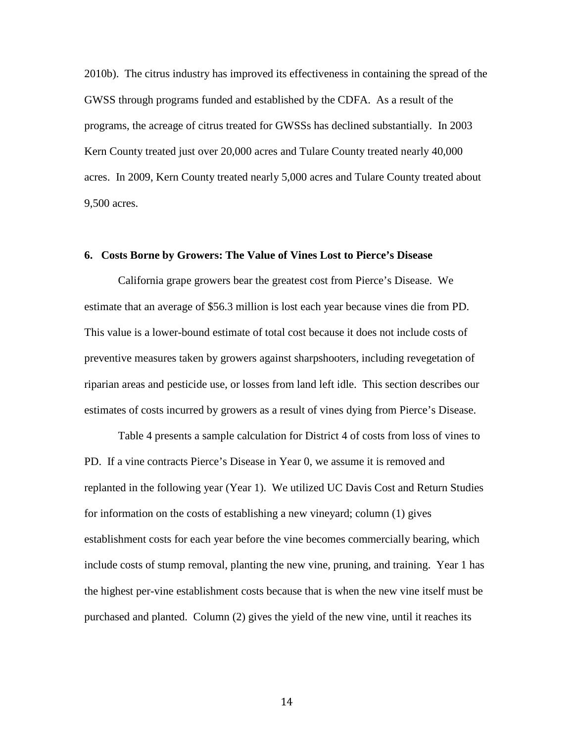[2010b\)](#page-17-7). The citrus industry has improved its effectiveness in containing the spread of the GWSS through programs funded and established by the CDFA. As a result of the programs, the acreage of citrus treated for GWSSs has declined substantially. In 2003 Kern County treated just over 20,000 acres and Tulare County treated nearly 40,000 acres. In 2009, Kern County treated nearly 5,000 acres and Tulare County treated about 9,500 acres.

#### **6. Costs Borne by Growers: The Value of Vines Lost to Pierce's Disease**

California grape growers bear the greatest cost from Pierce's Disease. We estimate that an average of \$56.3 million is lost each year because vines die from PD. This value is a lower-bound estimate of total cost because it does not include costs of preventive measures taken by growers against sharpshooters, including revegetation of riparian areas and pesticide use, or losses from land left idle. This section describes our estimates of costs incurred by growers as a result of vines dying from Pierce's Disease.

Table 4 presents a sample calculation for District 4 of costs from loss of vines to PD. If a vine contracts Pierce's Disease in Year 0, we assume it is removed and replanted in the following year (Year 1). We utilized UC Davis Cost and Return Studies for information on the costs of establishing a new vineyard; column (1) gives establishment costs for each year before the vine becomes commercially bearing, which include costs of stump removal, planting the new vine, pruning, and training. Year 1 has the highest per-vine establishment costs because that is when the new vine itself must be purchased and planted. Column (2) gives the yield of the new vine, until it reaches its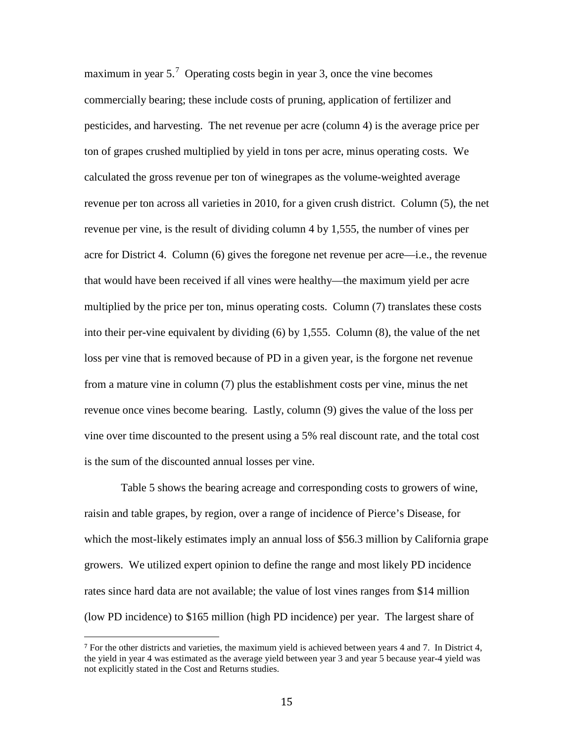maximum in year 5.<sup>[7](#page-15-0)</sup> Operating costs begin in year 3, once the vine becomes commercially bearing; these include costs of pruning, application of fertilizer and pesticides, and harvesting. The net revenue per acre (column 4) is the average price per ton of grapes crushed multiplied by yield in tons per acre, minus operating costs. We calculated the gross revenue per ton of winegrapes as the volume-weighted average revenue per ton across all varieties in 2010, for a given crush district. Column (5), the net revenue per vine, is the result of dividing column 4 by 1,555, the number of vines per acre for District 4. Column (6) gives the foregone net revenue per acre—i.e., the revenue that would have been received if all vines were healthy—the maximum yield per acre multiplied by the price per ton, minus operating costs. Column (7) translates these costs into their per-vine equivalent by dividing (6) by 1,555. Column (8), the value of the net loss per vine that is removed because of PD in a given year, is the forgone net revenue from a mature vine in column (7) plus the establishment costs per vine, minus the net revenue once vines become bearing. Lastly, column (9) gives the value of the loss per vine over time discounted to the present using a 5% real discount rate, and the total cost is the sum of the discounted annual losses per vine.

Table 5 shows the bearing acreage and corresponding costs to growers of wine, raisin and table grapes, by region, over a range of incidence of Pierce's Disease, for which the most-likely estimates imply an annual loss of \$56.3 million by California grape growers. We utilized expert opinion to define the range and most likely PD incidence rates since hard data are not available; the value of lost vines ranges from \$14 million (low PD incidence) to \$165 million (high PD incidence) per year. The largest share of

<span id="page-15-0"></span> <sup>7</sup> For the other districts and varieties, the maximum yield is achieved between years 4 and 7. In District 4, the yield in year 4 was estimated as the average yield between year 3 and year 5 because year-4 yield was not explicitly stated in the Cost and Returns studies.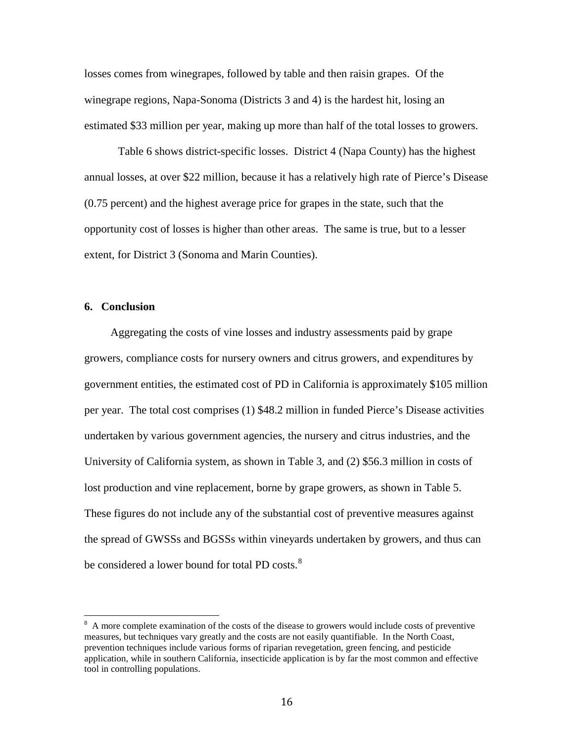losses comes from winegrapes, followed by table and then raisin grapes. Of the winegrape regions, Napa-Sonoma (Districts 3 and 4) is the hardest hit, losing an estimated \$33 million per year, making up more than half of the total losses to growers.

Table 6 shows district-specific losses. District 4 (Napa County) has the highest annual losses, at over \$22 million, because it has a relatively high rate of Pierce's Disease (0.75 percent) and the highest average price for grapes in the state, such that the opportunity cost of losses is higher than other areas. The same is true, but to a lesser extent, for District 3 (Sonoma and Marin Counties).

# **6. Conclusion**

Aggregating the costs of vine losses and industry assessments paid by grape growers, compliance costs for nursery owners and citrus growers, and expenditures by government entities, the estimated cost of PD in California is approximately \$105 million per year. The total cost comprises (1) \$48.2 million in funded Pierce's Disease activities undertaken by various government agencies, the nursery and citrus industries, and the University of California system, as shown in Table 3, and (2) \$56.3 million in costs of lost production and vine replacement, borne by grape growers, as shown in Table 5. These figures do not include any of the substantial cost of preventive measures against the spread of GWSSs and BGSSs within vineyards undertaken by growers, and thus can be considered a lower bound for total PD costs.<sup>[8](#page-16-0)</sup>

<span id="page-16-0"></span><sup>&</sup>lt;sup>8</sup> A more complete examination of the costs of the disease to growers would include costs of preventive measures, but techniques vary greatly and the costs are not easily quantifiable. In the North Coast, prevention techniques include various forms of riparian revegetation, green fencing, and pesticide application, while in southern California, insecticide application is by far the most common and effective tool in controlling populations.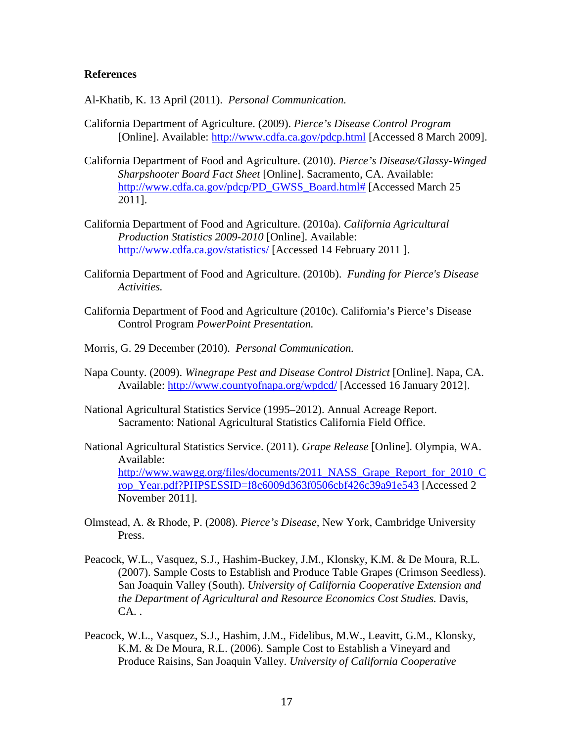# **References**

<span id="page-17-8"></span>Al-Khatib, K. 13 April (2011). *Personal Communication.*

- <span id="page-17-2"></span>California Department of Agriculture. (2009). *Pierce's Disease Control Program*  [Online]. Available:<http://www.cdfa.ca.gov/pdcp.html> [Accessed 8 March 2009].
- <span id="page-17-6"></span>California Department of Food and Agriculture. (2010). *Pierce's Disease/Glassy-Winged Sharpshooter Board Fact Sheet* [Online]. Sacramento, CA. Available: [http://www.cdfa.ca.gov/pdcp/PD\\_GWSS\\_Board.html#](http://www.cdfa.ca.gov/pdcp/PD_GWSS_Board.html) [Accessed March 25 2011].
- <span id="page-17-1"></span>California Department of Food and Agriculture. (2010a). *California Agricultural Production Statistics 2009-2010* [Online]. Available: <http://www.cdfa.ca.gov/statistics/> [Accessed 14 February 2011 ].
- <span id="page-17-7"></span>California Department of Food and Agriculture. (2010b). *Funding for Pierce's Disease Activities.*
- <span id="page-17-9"></span>California Department of Food and Agriculture (2010c). California's Pierce's Disease Control Program *PowerPoint Presentation.*
- <span id="page-17-10"></span>Morris, G. 29 December (2010). *Personal Communication.*
- <span id="page-17-5"></span>Napa County. (2009). *Winegrape Pest and Disease Control District* [Online]. Napa, CA. Available:<http://www.countyofnapa.org/wpdcd/> [Accessed 16 January 2012].
- <span id="page-17-4"></span>National Agricultural Statistics Service (1995–2012). Annual Acreage Report. Sacramento: National Agricultural Statistics California Field Office.
- <span id="page-17-3"></span>National Agricultural Statistics Service. (2011). *Grape Release* [Online]. Olympia, WA. Available: [http://www.wawgg.org/files/documents/2011\\_NASS\\_Grape\\_Report\\_for\\_2010\\_C](http://www.wawgg.org/files/documents/2011_NASS_Grape_Report_for_2010_Crop_Year.pdf?PHPSESSID=f8c6009d363f0506cbf426c39a91e543) [rop\\_Year.pdf?PHPSESSID=f8c6009d363f0506cbf426c39a91e543](http://www.wawgg.org/files/documents/2011_NASS_Grape_Report_for_2010_Crop_Year.pdf?PHPSESSID=f8c6009d363f0506cbf426c39a91e543) [Accessed 2 November 2011].
- <span id="page-17-0"></span>Olmstead, A. & Rhode, P. (2008). *Pierce's Disease,* New York, Cambridge University Press.
- Peacock, W.L., Vasquez, S.J., Hashim-Buckey, J.M., Klonsky, K.M. & De Moura, R.L. (2007). Sample Costs to Establish and Produce Table Grapes (Crimson Seedless). San Joaquin Valley (South). *University of California Cooperative Extension and the Department of Agricultural and Resource Economics Cost Studies.* Davis,  $CA.$ .
- Peacock, W.L., Vasquez, S.J., Hashim, J.M., Fidelibus, M.W., Leavitt, G.M., Klonsky, K.M. & De Moura, R.L. (2006). Sample Cost to Establish a Vineyard and Produce Raisins, San Joaquin Valley. *University of California Cooperative*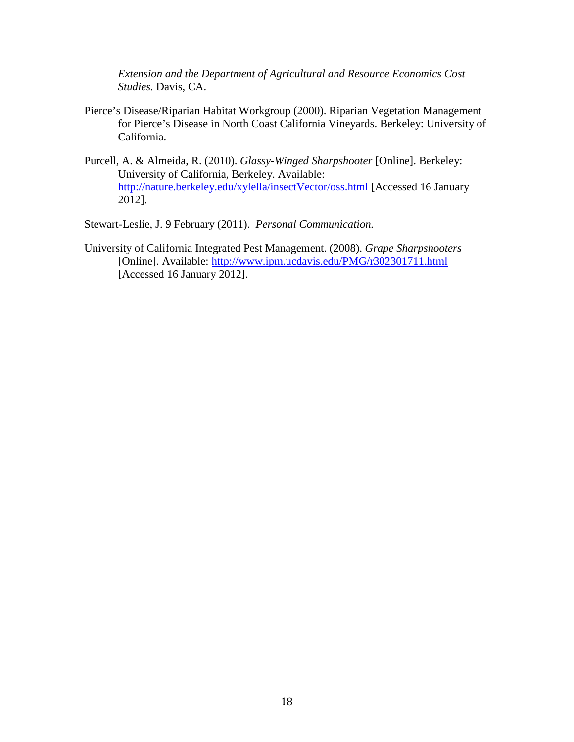*Extension and the Department of Agricultural and Resource Economics Cost Studies.* Davis, CA.

- <span id="page-18-1"></span>Pierce's Disease/Riparian Habitat Workgroup (2000). Riparian Vegetation Management for Pierce's Disease in North Coast California Vineyards. Berkeley: University of California.
- <span id="page-18-2"></span>Purcell, A. & Almeida, R. (2010). *Glassy-Winged Sharpshooter* [Online]. Berkeley: University of California, Berkeley. Available: <http://nature.berkeley.edu/xylella/insectVector/oss.html> [Accessed 16 January 2012].

<span id="page-18-3"></span>Stewart-Leslie, J. 9 February (2011). *Personal Communication.*

<span id="page-18-0"></span>University of California Integrated Pest Management. (2008). *Grape Sharpshooters*  [Online]. Available:<http://www.ipm.ucdavis.edu/PMG/r302301711.html> [Accessed 16 January 2012].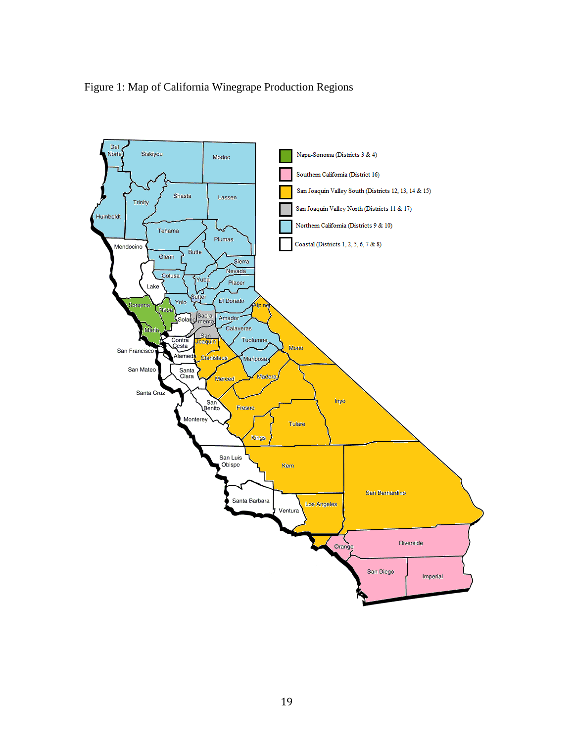

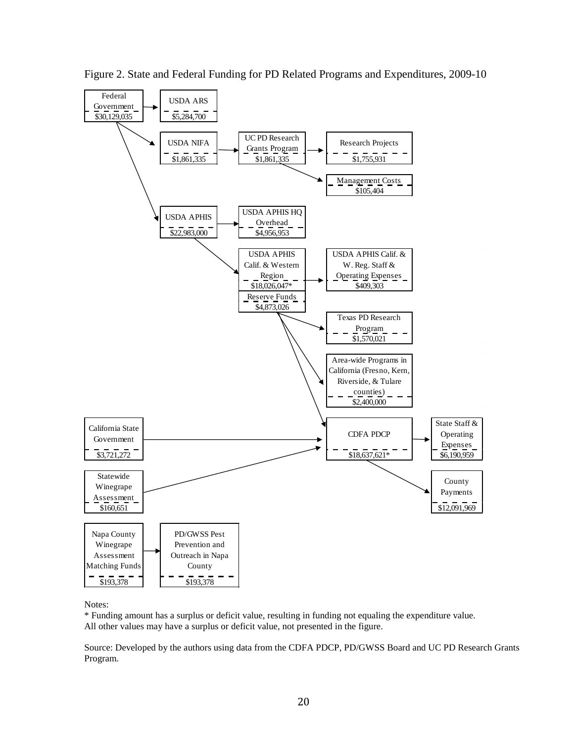

Figure 2. State and Federal Funding for PD Related Programs and Expenditures, 2009-10

# Notes:

\* Funding amount has a surplus or deficit value, resulting in funding not equaling the expenditure value. All other values may have a surplus or deficit value, not presented in the figure.

Source: Developed by the authors using data from the CDFA PDCP, PD/GWSS Board and UC PD Research Grants Program.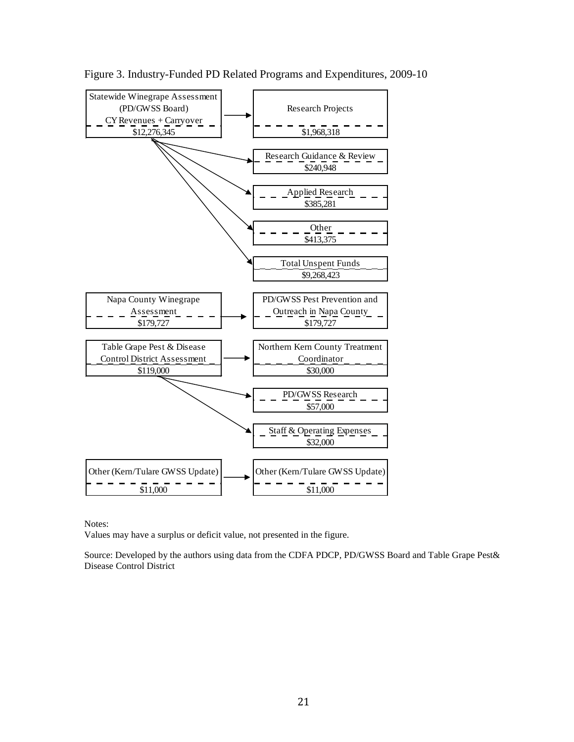

Figure 3. Industry-Funded PD Related Programs and Expenditures, 2009-10

Notes:

Values may have a surplus or deficit value, not presented in the figure.

Source: Developed by the authors using data from the CDFA PDCP, PD/GWSS Board and Table Grape Pest& Disease Control District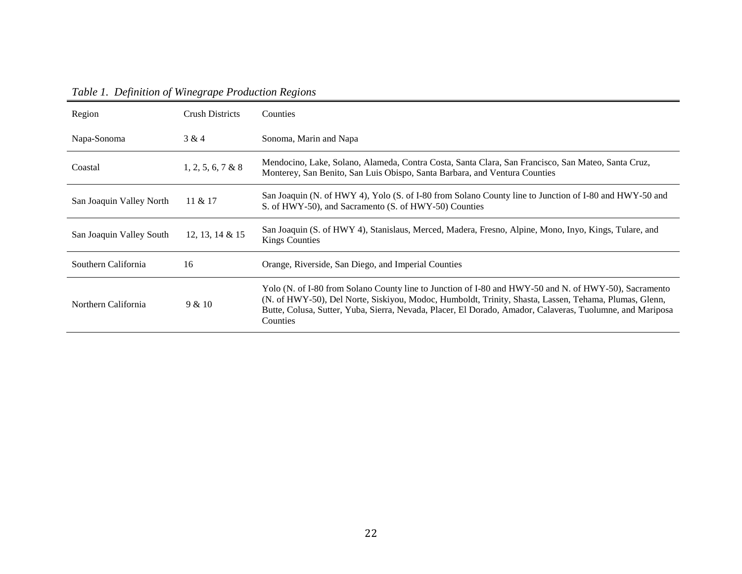|--|

| Region                   | <b>Crush Districts</b> | <b>Counties</b>                                                                                                                                                                                                                                                                                                                         |
|--------------------------|------------------------|-----------------------------------------------------------------------------------------------------------------------------------------------------------------------------------------------------------------------------------------------------------------------------------------------------------------------------------------|
| Napa-Sonoma              | 3 & 4                  | Sonoma, Marin and Napa                                                                                                                                                                                                                                                                                                                  |
| Coastal                  | 1, 2, 5, 6, 7 & 8      | Mendocino, Lake, Solano, Alameda, Contra Costa, Santa Clara, San Francisco, San Mateo, Santa Cruz,<br>Monterey, San Benito, San Luis Obispo, Santa Barbara, and Ventura Counties                                                                                                                                                        |
| San Joaquin Valley North | 11 & 21                | San Joaquin (N. of HWY 4), Yolo (S. of I-80 from Solano County line to Junction of I-80 and HWY-50 and<br>S. of HWY-50), and Sacramento (S. of HWY-50) Counties                                                                                                                                                                         |
| San Joaquin Valley South | 12, 13, 14 & 15        | San Joaquin (S. of HWY 4), Stanislaus, Merced, Madera, Fresno, Alpine, Mono, Inyo, Kings, Tulare, and<br><b>Kings Counties</b>                                                                                                                                                                                                          |
| Southern California      | 16                     | Orange, Riverside, San Diego, and Imperial Counties                                                                                                                                                                                                                                                                                     |
| Northern California      | 9 & 10                 | Yolo (N. of I-80 from Solano County line to Junction of I-80 and HWY-50 and N. of HWY-50), Sacramento<br>(N. of HWY-50), Del Norte, Siskiyou, Modoc, Humboldt, Trinity, Shasta, Lassen, Tehama, Plumas, Glenn,<br>Butte, Colusa, Sutter, Yuba, Sierra, Nevada, Placer, El Dorado, Amador, Calaveras, Tuolumne, and Mariposa<br>Counties |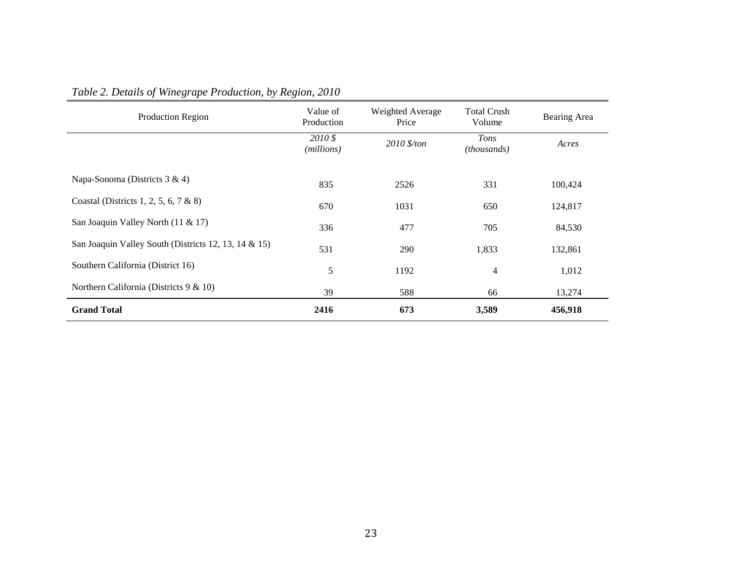| Production Region                                    | Value of<br>Production | Weighted Average<br>Price | Total Crush<br>Volume      | Bearing Area |
|------------------------------------------------------|------------------------|---------------------------|----------------------------|--------------|
|                                                      | 2010 \$<br>(millions)  | 2010 \$/ton               | Tons<br><i>(thousands)</i> | Acres        |
| Napa-Sonoma (Districts 3 & 4)                        | 835                    | 2526                      | 331                        | 100,424      |
| Coastal (Districts 1, 2, 5, 6, 7 & 8)                | 670                    | 1031                      | 650                        | 124,817      |
| San Joaquin Valley North (11 & 17)                   | 336                    | 477                       | 705                        | 84,530       |
| San Joaquin Valley South (Districts 12, 13, 14 & 15) | 531                    | 290                       | 1,833                      | 132,861      |
| Southern California (District 16)                    | 5                      | 1192                      | $\overline{4}$             | 1,012        |
| Northern California (Districts 9 & 10)               | 39                     | 588                       | 66                         | 13,274       |
| <b>Grand Total</b>                                   | 2416                   | 673                       | 3,589                      | 456,918      |

# *Table 2. Details of Winegrape Production, by Region, 2010*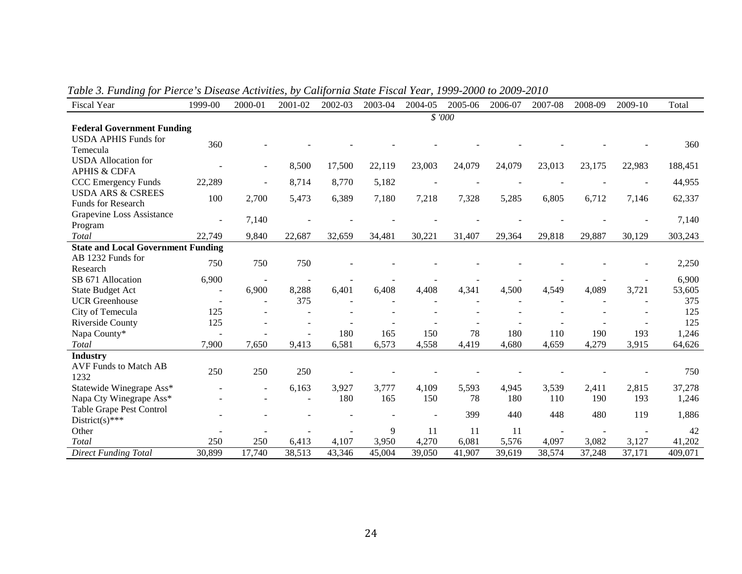| Fiscal Year                               | 1999-00 | 2000-01                  | 2001-02 | 2002-03 | 2003-04 | 2004-05 | 2005-06 | 2006-07 | 2007-08 | 2008-09 | 2009-10 | Total   |
|-------------------------------------------|---------|--------------------------|---------|---------|---------|---------|---------|---------|---------|---------|---------|---------|
|                                           |         |                          |         |         |         |         | \$ '000 |         |         |         |         |         |
| <b>Federal Government Funding</b>         |         |                          |         |         |         |         |         |         |         |         |         |         |
| <b>USDA APHIS Funds for</b>               | 360     |                          |         |         |         |         |         |         |         |         |         | 360     |
| Temecula                                  |         |                          |         |         |         |         |         |         |         |         |         |         |
| <b>USDA</b> Allocation for                |         | $\overline{\phantom{0}}$ | 8,500   | 17,500  | 22,119  | 23,003  | 24,079  | 24,079  | 23,013  | 23,175  | 22,983  | 188,451 |
| <b>APHIS &amp; CDFA</b>                   |         |                          |         |         |         |         |         |         |         |         |         |         |
| CCC Emergency Funds                       | 22,289  |                          | 8,714   | 8,770   | 5,182   |         |         |         |         |         |         | 44,955  |
| <b>USDA ARS &amp; CSREES</b>              | 100     | 2,700                    | 5,473   | 6,389   | 7,180   | 7,218   | 7,328   | 5,285   | 6,805   | 6,712   | 7,146   | 62,337  |
| <b>Funds for Research</b>                 |         |                          |         |         |         |         |         |         |         |         |         |         |
| Grapevine Loss Assistance                 |         | 7,140                    |         |         |         |         |         |         |         |         |         | 7,140   |
| Program                                   |         |                          |         |         |         |         |         |         |         |         |         |         |
| Total                                     | 22,749  | 9,840                    | 22,687  | 32,659  | 34,481  | 30,221  | 31,407  | 29,364  | 29,818  | 29,887  | 30,129  | 303,243 |
| <b>State and Local Government Funding</b> |         |                          |         |         |         |         |         |         |         |         |         |         |
| AB 1232 Funds for                         | 750     | 750                      | 750     |         |         |         |         |         |         |         |         | 2,250   |
| Research                                  |         |                          |         |         |         |         |         |         |         |         |         |         |
| SB 671 Allocation                         | 6,900   |                          |         |         |         |         |         |         |         |         |         | 6,900   |
| <b>State Budget Act</b>                   |         | 6,900                    | 8,288   | 6,401   | 6,408   | 4,408   | 4,341   | 4,500   | 4,549   | 4,089   | 3,721   | 53,605  |
| <b>UCR</b> Greenhouse                     | $\sim$  | $\overline{\phantom{a}}$ | 375     |         |         |         |         |         |         |         |         | 375     |
| City of Temecula                          | 125     |                          |         |         |         |         |         |         |         |         |         | 125     |
| Riverside County                          | 125     |                          |         |         |         |         |         |         |         |         |         | 125     |
| Napa County*                              |         |                          |         | 180     | 165     | 150     | 78      | 180     | 110     | 190     | 193     | 1,246   |
| Total                                     | 7,900   | 7,650                    | 9,413   | 6,581   | 6,573   | 4,558   | 4,419   | 4,680   | 4,659   | 4,279   | 3,915   | 64,626  |
| <b>Industry</b>                           |         |                          |         |         |         |         |         |         |         |         |         |         |
| <b>AVF Funds to Match AB</b>              | 250     | 250                      | 250     |         |         |         |         |         |         |         |         | 750     |
| 1232                                      |         |                          |         |         |         |         |         |         |         |         |         |         |
| Statewide Winegrape Ass*                  |         | $\overline{\phantom{a}}$ | 6,163   | 3,927   | 3,777   | 4,109   | 5,593   | 4,945   | 3,539   | 2,411   | 2,815   | 37,278  |
| Napa Cty Winegrape Ass*                   |         |                          | $\sim$  | 180     | 165     | 150     | 78      | 180     | 110     | 190     | 193     | 1,246   |
| Table Grape Pest Control                  |         |                          |         |         |         |         | 399     | 440     | 448     | 480     | 119     | 1,886   |
| District(s)***                            |         |                          |         |         |         |         |         |         |         |         |         |         |
| Other                                     |         |                          |         |         | 9       | 11      | 11      | 11      |         |         |         | 42      |
| Total                                     | 250     | 250                      | 6,413   | 4,107   | 3,950   | 4,270   | 6,081   | 5,576   | 4,097   | 3,082   | 3,127   | 41,202  |
| <b>Direct Funding Total</b>               | 30,899  | 17,740                   | 38,513  | 43,346  | 45,004  | 39,050  | 41,907  | 39,619  | 38,574  | 37,248  | 37,171  | 409,071 |

*Table 3. Funding for Pierce's Disease Activities, by California State Fiscal Year, 1999-2000 to 2009-2010*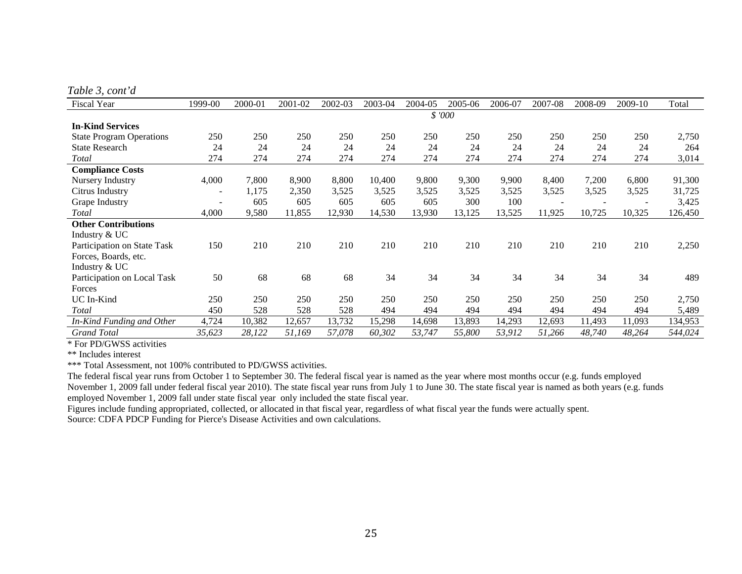*Table 3, cont'd*

| <b>Fiscal Year</b>              | 1999-00 | 2000-01 | 2001-02 | 2002-03 | 2003-04 | 2004-05 | 2005-06 | 2006-07 | 2007-08 | 2008-09 | 2009-10 | Total   |
|---------------------------------|---------|---------|---------|---------|---------|---------|---------|---------|---------|---------|---------|---------|
|                                 | \$ '000 |         |         |         |         |         |         |         |         |         |         |         |
| <b>In-Kind Services</b>         |         |         |         |         |         |         |         |         |         |         |         |         |
| <b>State Program Operations</b> | 250     | 250     | 250     | 250     | 250     | 250     | 250     | 250     | 250     | 250     | 250     | 2,750   |
| <b>State Research</b>           | 24      | 24      | 24      | 24      | 24      | 24      | 24      | 24      | 24      | 24      | 24      | 264     |
| Total                           | 274     | 274     | 274     | 274     | 274     | 274     | 274     | 274     | 274     | 274     | 274     | 3,014   |
| <b>Compliance Costs</b>         |         |         |         |         |         |         |         |         |         |         |         |         |
| Nursery Industry                | 4,000   | 7,800   | 8,900   | 8,800   | 10,400  | 9,800   | 9,300   | 9,900   | 8,400   | 7,200   | 6,800   | 91,300  |
| Citrus Industry                 |         | 1,175   | 2,350   | 3,525   | 3,525   | 3,525   | 3,525   | 3,525   | 3,525   | 3,525   | 3,525   | 31,725  |
| Grape Industry                  |         | 605     | 605     | 605     | 605     | 605     | 300     | 100     |         |         |         | 3,425   |
| Total                           | 4,000   | 9,580   | 11,855  | 12,930  | 14,530  | 13,930  | 13,125  | 13,525  | 11,925  | 10,725  | 10,325  | 126,450 |
| <b>Other Contributions</b>      |         |         |         |         |         |         |         |         |         |         |         |         |
| Industry & UC                   |         |         |         |         |         |         |         |         |         |         |         |         |
| Participation on State Task     | 150     | 210     | 210     | 210     | 210     | 210     | 210     | 210     | 210     | 210     | 210     | 2,250   |
| Forces, Boards, etc.            |         |         |         |         |         |         |         |         |         |         |         |         |
| Industry & UC                   |         |         |         |         |         |         |         |         |         |         |         |         |
| Participation on Local Task     | 50      | 68      | 68      | 68      | 34      | 34      | 34      | 34      | 34      | 34      | 34      | 489     |
| Forces                          |         |         |         |         |         |         |         |         |         |         |         |         |
| UC In-Kind                      | 250     | 250     | 250     | 250     | 250     | 250     | 250     | 250     | 250     | 250     | 250     | 2,750   |
| Total                           | 450     | 528     | 528     | 528     | 494     | 494     | 494     | 494     | 494     | 494     | 494     | 5,489   |
| In-Kind Funding and Other       | 4,724   | 10,382  | 12,657  | 13,732  | 15,298  | 14,698  | 13,893  | 14,293  | 12,693  | 11,493  | 11,093  | 134,953 |
| <b>Grand Total</b>              | 35,623  | 28,122  | 51,169  | 57,078  | 60,302  | 53,747  | 55,800  | 53,912  | 51,266  | 48,740  | 48,264  | 544,024 |

\* For PD/GWSS activities

\*\* Includes interest

\*\*\* Total Assessment, not 100% contributed to PD/GWSS activities.

The federal fiscal year runs from October 1 to September 30. The federal fiscal year is named as the year where most months occur (e.g. funds employed November 1, 2009 fall under federal fiscal year 2010). The state fiscal year runs from July 1 to June 30. The state fiscal year is named as both years (e.g. funds employed November 1, 2009 fall under state fiscal year only included the state fiscal year.

Figures include funding appropriated, collected, or allocated in that fiscal year, regardless of what fiscal year the funds were actually spent. Source: CDFA PDCP Funding for Pierce's Disease Activities and own calculations.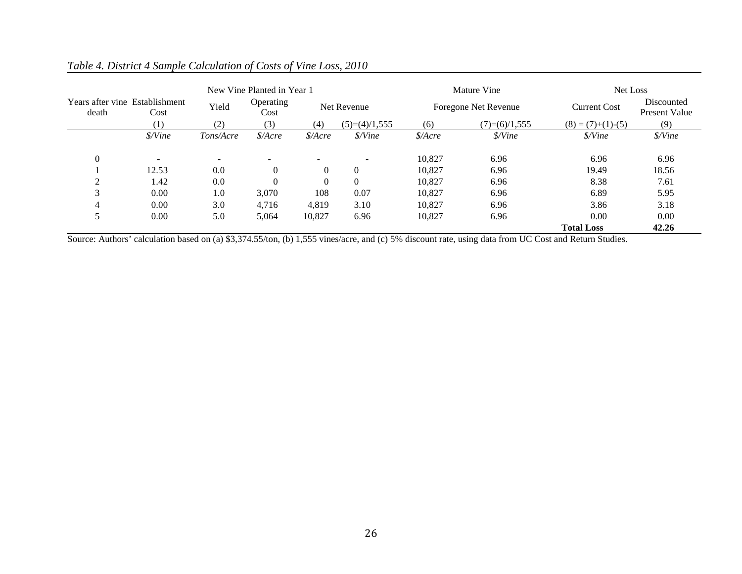| New Vine Planted in Year 1              |                |           |                       |          |                          |                       | Mature Vine                  | Net Loss                    |                             |  |
|-----------------------------------------|----------------|-----------|-----------------------|----------|--------------------------|-----------------------|------------------------------|-----------------------------|-----------------------------|--|
| Years after vine Establishment<br>death | Cost           | Yield     | Operating<br>Cost     |          | Net Revenue              |                       | Foregone Net Revenue         | <b>Current Cost</b>         | Discounted<br>Present Value |  |
|                                         | (1)            | (2)       | (3)                   | (4)      | $(5)=(4)/1,555$          | (6)                   | $(7)=(6)/1,555$              | $(8) = (7)+(1)-(5)$         | (9)                         |  |
|                                         | \$/Vine        | Tons/Acre | $\frac{\delta}{Area}$ | \$/Acre  | \$/Vine                  | $\frac{\delta}{Area}$ | $\frac{\delta}{\delta}$ Vine | <i><i><u>S/Vine</u></i></i> | \$/Vine                     |  |
| $\Omega$                                | $\blacksquare$ |           |                       |          | $\overline{\phantom{a}}$ | 10.827                | 6.96                         | 6.96                        | 6.96                        |  |
|                                         | 12.53          | 0.0       | $\theta$              | $\theta$ | $\overline{0}$           | 10.827                | 6.96                         | 19.49                       | 18.56                       |  |
| $\bigcap$                               | 1.42           | 0.0       |                       | $\Omega$ | $\Omega$                 | 10,827                | 6.96                         | 8.38                        | 7.61                        |  |
| 3                                       | 0.00           | 1.0       | 3,070                 | 108      | 0.07                     | 10.827                | 6.96                         | 6.89                        | 5.95                        |  |
| $\overline{4}$                          | 0.00           | 3.0       | 4,716                 | 4.819    | 3.10                     | 10.827                | 6.96                         | 3.86                        | 3.18                        |  |
| 5                                       | 0.00           | 5.0       | 5,064                 | 10,827   | 6.96                     | 10,827                | 6.96                         | 0.00                        | 0.00                        |  |
|                                         |                |           |                       |          |                          |                       |                              | <b>Total Loss</b>           | 42.26                       |  |

# *Table 4. District 4 Sample Calculation of Costs of Vine Loss, 2010*

Source: Authors' calculation based on (a) \$3,374.55/ton, (b) 1,555 vines/acre, and (c) 5% discount rate, using data from UC Cost and Return Studies.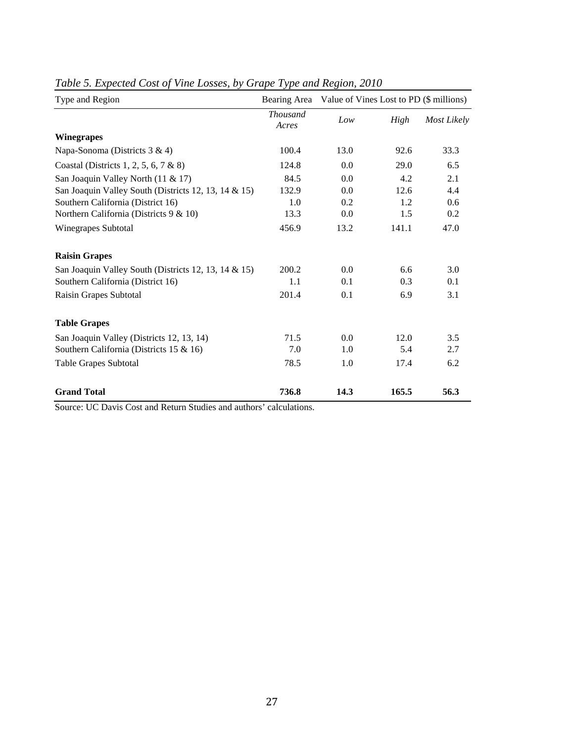| Type and Region                                      |                          | Bearing Area Value of Vines Lost to PD (\$ millions) |       |             |  |
|------------------------------------------------------|--------------------------|------------------------------------------------------|-------|-------------|--|
|                                                      | <b>Thousand</b><br>Acres | Low                                                  | High  | Most Likely |  |
| <b>Winegrapes</b>                                    |                          |                                                      |       |             |  |
| Napa-Sonoma (Districts 3 & 4)                        | 100.4                    | 13.0                                                 | 92.6  | 33.3        |  |
| Coastal (Districts 1, 2, 5, 6, 7 & 8)                | 124.8                    | 0.0                                                  | 29.0  | 6.5         |  |
| San Joaquin Valley North (11 & 17)                   | 84.5                     | 0.0                                                  | 4.2   | 2.1         |  |
| San Joaquin Valley South (Districts 12, 13, 14 & 15) | 132.9                    | 0.0                                                  | 12.6  | 4.4         |  |
| Southern California (District 16)                    | 1.0                      | 0.2                                                  | 1.2   | 0.6         |  |
| Northern California (Districts 9 & 10)               | 13.3                     | 0.0                                                  | 1.5   | 0.2         |  |
| Winegrapes Subtotal                                  | 456.9                    | 13.2                                                 | 141.1 | 47.0        |  |
| <b>Raisin Grapes</b>                                 |                          |                                                      |       |             |  |
| San Joaquin Valley South (Districts 12, 13, 14 & 15) | 200.2                    | 0.0                                                  | 6.6   | 3.0         |  |
| Southern California (District 16)                    | 1.1                      | 0.1                                                  | 0.3   | 0.1         |  |
| Raisin Grapes Subtotal                               | 201.4                    | 0.1                                                  | 6.9   | 3.1         |  |
| <b>Table Grapes</b>                                  |                          |                                                      |       |             |  |
| San Joaquin Valley (Districts 12, 13, 14)            | 71.5                     | 0.0                                                  | 12.0  | 3.5         |  |
| Southern California (Districts 15 & 16)              | 7.0                      | 1.0                                                  | 5.4   | 2.7         |  |
| <b>Table Grapes Subtotal</b>                         | 78.5                     | 1.0                                                  | 17.4  | 6.2         |  |
| <b>Grand Total</b>                                   | 736.8                    | 14.3                                                 | 165.5 | 56.3        |  |

# *Table 5. Expected Cost of Vine Losses, by Grape Type and Region, 2010*

Source: UC Davis Cost and Return Studies and authors' calculations.